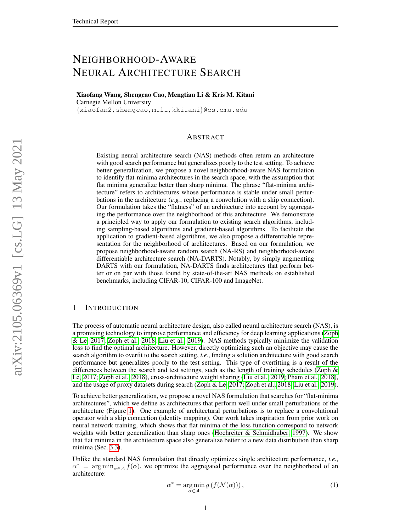# NEIGHBORHOOD-AWARE NEURAL ARCHITECTURE SEARCH

Xiaofang Wang, Shengcao Cao, Mengtian Li & Kris M. Kitani Carnegie Mellon University

{xiaofan2,shengcao,mtli,kkitani}@cs.cmu.edu

# ABSTRACT

Existing neural architecture search (NAS) methods often return an architecture with good search performance but generalizes poorly to the test setting. To achieve better generalization, we propose a novel neighborhood-aware NAS formulation to identify flat-minima architectures in the search space, with the assumption that flat minima generalize better than sharp minima. The phrase "flat-minima architecture" refers to architectures whose performance is stable under small perturbations in the architecture (*e.g.*, replacing a convolution with a skip connection). Our formulation takes the "flatness" of an architecture into account by aggregating the performance over the neighborhood of this architecture. We demonstrate a principled way to apply our formulation to existing search algorithms, including sampling-based algorithms and gradient-based algorithms. To facilitate the application to gradient-based algorithms, we also propose a differentiable representation for the neighborhood of architectures. Based on our formulation, we propose neighborhood-aware random search (NA-RS) and neighborhood-aware differentiable architecture search (NA-DARTS). Notably, by simply augmenting DARTS with our formulation, NA-DARTS finds architectures that perform better or on par with those found by state-of-the-art NAS methods on established benchmarks, including CIFAR-10, CIFAR-100 and ImageNet.

### 1 INTRODUCTION

The process of automatic neural architecture design, also called neural architecture search (NAS), is a promising technology to improve performance and efficiency for deep learning applications [\(Zoph](#page-10-0) [& Le, 2017;](#page-10-0) [Zoph et al., 2018;](#page-10-1) [Liu et al., 2019\)](#page-9-0). NAS methods typically minimize the validation loss to find the optimal architecture. However, directly optimizing such an objective may cause the search algorithm to overfit to the search setting, *i.e.*, finding a solution architecture with good search performance but generalizes poorly to the test setting. This type of overfitting is a result of the differences between the search and test settings, such as the length of training schedules [\(Zoph &](#page-10-0) [Le, 2017;](#page-10-0) [Zoph et al., 2018\)](#page-10-1), cross-architecture weight sharing [\(Liu et al., 2019;](#page-9-0) [Pham et al., 2018\)](#page-9-1), and the usage of proxy datasets during search [\(Zoph & Le, 2017;](#page-10-0) [Zoph et al., 2018;](#page-10-1) [Liu et al., 2019\)](#page-9-0).

To achieve better generalization, we propose a novel NAS formulation that searches for "flat-minima architectures", which we define as architectures that perform well under small perturbations of the architecture (Figure [1\)](#page-1-0). One example of architectural perturbations is to replace a convolutional operator with a skip connection (identity mapping). Our work takes inspiration from prior work on neural network training, which shows that flat minima of the loss function correspond to network weights with better generalization than sharp ones (Hochreiter  $&$  Schmidhuber, 1997). We show that flat minima in the architecture space also generalize better to a new data distribution than sharp minima (Sec. [3.3\)](#page-3-0).

Unlike the standard NAS formulation that directly optimizes single architecture performance, *i.e.*,  $\alpha^*$  = arg min<sub>α∈A</sub>  $f(\alpha)$ , we optimize the aggregated performance over the neighborhood of an architecture:

<span id="page-0-0"></span>
$$
\alpha^* = \underset{\alpha \in \mathcal{A}}{\arg \min} \, g \left( f(\mathcal{N}(\alpha)) \right),\tag{1}
$$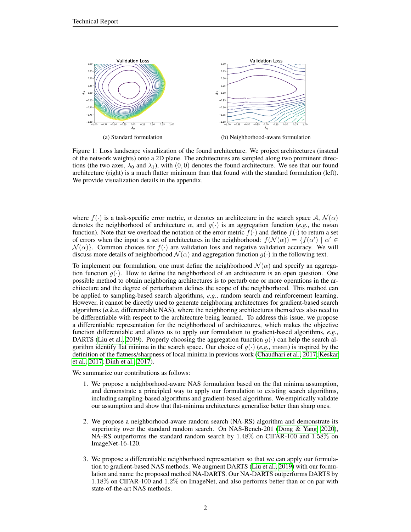<span id="page-1-0"></span>

Figure 1: Loss landscape visualization of the found architecture. We project architectures (instead of the network weights) onto a 2D plane. The architectures are sampled along two prominent directions (the two axes,  $\lambda_0$  and  $\lambda_1$ ), with  $(0, 0)$  denotes the found architecture. We see that our found architecture (right) is a much flatter minimum than that found with the standard formulation (left). We provide visualization details in the appendix.

where  $f(\cdot)$  is a task-specific error metric,  $\alpha$  denotes an architecture in the search space A,  $\mathcal{N}(\alpha)$ denotes the neighborhood of architecture  $\alpha$ , and  $g(\cdot)$  is an aggregation function (*e.g.*, the mean function). Note that we overload the notation of the error metric  $f(\cdot)$  and define  $f(\cdot)$  to return a set of errors when the input is a set of architectures in the neighborhood:  $f(\mathcal{N}(\alpha)) = \{f(\alpha') \mid \alpha' \in$  $\mathcal{N}(\alpha)$ . Common choices for  $f(\cdot)$  are validation loss and negative validation accuracy. We will discuss more details of neighborhood  $\mathcal{N}(\alpha)$  and aggregation function  $g(\cdot)$  in the following text.

To implement our formulation, one must define the neighborhood  $\mathcal{N}(\alpha)$  and specify an aggregation function  $g(\cdot)$ . How to define the neighborhood of an architecture is an open question. One possible method to obtain neighboring architectures is to perturb one or more operations in the architecture and the degree of perturbation defines the scope of the neighborhood. This method can be applied to sampling-based search algorithms, *e.g.*, random search and reinforcement learning. However, it cannot be directly used to generate neighboring architectures for gradient-based search algorithms (*a.k.a*, differentiable NAS), where the neighboring architectures themselves also need to be differentiable with respect to the architecture being learned. To address this issue, we propose a differentiable representation for the neighborhood of architectures, which makes the objective function differentiable and allows us to apply our formulation to gradient-based algorithms, *e.g.*, DARTS [\(Liu et al., 2019\)](#page-9-0). Properly choosing the aggregation function  $g(\cdot)$  can help the search algorithm identify flat minima in the search space. Our choice of  $g(\cdot)$  (*e.g.*, mean) is inspired by the definition of the flatness/sharpness of local minima in previous work [\(Chaudhari et al., 2017;](#page-8-0) [Keskar](#page-9-3) [et al., 2017;](#page-9-3) [Dinh et al., 2017\)](#page-8-1).

We summarize our contributions as follows:

- 1. We propose a neighborhood-aware NAS formulation based on the flat minima assumption, and demonstrate a principled way to apply our formulation to existing search algorithms, including sampling-based algorithms and gradient-based algorithms. We empirically validate our assumption and show that flat-minima architectures generalize better than sharp ones.
- 2. We propose a neighborhood-aware random search (NA-RS) algorithm and demonstrate its superiority over the standard random search. On NAS-Bench-201 [\(Dong & Yang, 2020\)](#page-8-2), NA-RS outperforms the standard random search by 1.48% on CIFAR-100 and 1.58% on ImageNet-16-120.
- 3. We propose a differentiable neighborhood representation so that we can apply our formulation to gradient-based NAS methods. We augment DARTS [\(Liu et al., 2019\)](#page-9-0) with our formulation and name the proposed method NA-DARTS. Our NA-DARTS outperforms DARTS by 1.18% on CIFAR-100 and 1.2% on ImageNet, and also performs better than or on par with state-of-the-art NAS methods.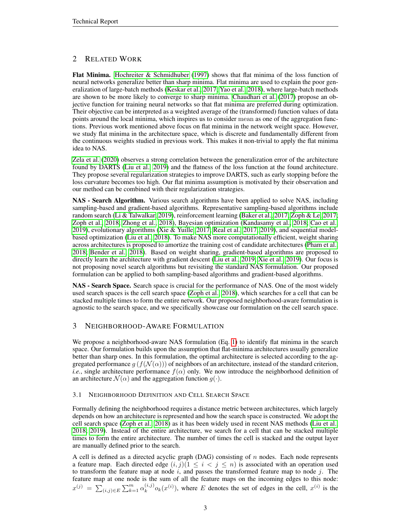# 2 RELATED WORK

Flat Minima. [Hochreiter & Schmidhuber](#page-9-2) [\(1997\)](#page-9-2) shows that flat minima of the loss function of neural networks generalize better than sharp minima. Flat minima are used to explain the poor generalization of large-batch methods [\(Keskar et al., 2017;](#page-9-3) [Yao et al., 2018\)](#page-9-4), where large-batch methods are shown to be more likely to converge to sharp minima. [Chaudhari et al.](#page-8-0) [\(2017\)](#page-8-0) propose an objective function for training neural networks so that flat minima are preferred during optimization. Their objective can be interpreted as a weighted average of the (transformed) function values of data points around the local minima, which inspires us to consider mean as one of the aggregation functions. Previous work mentioned above focus on flat minima in the network weight space. However, we study flat minima in the architecture space, which is discrete and fundamentally different from the continuous weights studied in previous work. This makes it non-trivial to apply the flat minima idea to NAS.

[Zela et al.](#page-10-2) [\(2020\)](#page-10-2) observes a strong correlation between the generalization error of the architecture found by DARTS [\(Liu et al., 2019\)](#page-9-0) and the flatness of the loss function at the found architecture. They propose several regularization strategies to improve DARTS, such as early stopping before the loss curvature becomes too high. Our flat minima assumption is motivated by their observation and our method can be combined with their regularization strategies.

NAS - Search Algorithm. Various search algorithms have been applied to solve NAS, including sampling-based and gradient-based algorithms. Representative sampling-based algorithms include random search [\(Li & Talwalkar, 2019\)](#page-9-5), reinforcement learning [\(Baker et al., 2017;](#page-8-3) [Zoph & Le, 2017;](#page-10-0) [Zoph et al., 2018;](#page-10-1) [Zhong et al., 2018\)](#page-10-3), Bayesian optimization [\(Kandasamy et al., 2018;](#page-9-6) [Cao et al.,](#page-8-4) [2019\)](#page-8-4), evolutionary algorithms [\(Xie & Yuille, 2017;](#page-9-7) [Real et al., 2017;](#page-9-8) [2019\)](#page-9-9), and sequential modelbased optimization [\(Liu et al., 2018\)](#page-9-10). To make NAS more computationally efficient, weight sharing across architectures is proposed to amortize the training cost of candidate architectures [\(Pham et al.,](#page-9-1) [2018;](#page-9-1) [Bender et al., 2018\)](#page-8-5). Based on weight sharing, gradient-based algorithms are proposed to directly learn the architecture with gradient descent [\(Liu et al., 2019;](#page-9-0) [Xie et al., 2019\)](#page-9-11). Our focus is not proposing novel search algorithms but revisiting the standard NAS formulation. Our proposed formulation can be applied to both sampling-based algorithms and gradient-based algorithms.

NAS - Search Space. Search space is crucial for the performance of NAS. One of the most widely used search spaces is the cell search space [\(Zoph et al., 2018\)](#page-10-1), which searches for a cell that can be stacked multiple times to form the entire network. Our proposed neighborhood-aware formulation is agnostic to the search space, and we specifically showcase our formulation on the cell search space.

# 3 NEIGHBORHOOD-AWARE FORMULATION

We propose a neighborhood-aware NAS formulation (Eq. [1\)](#page-0-0) to identify flat minima in the search space. Our formulation builds upon the assumption that flat-minima architectures usually generalize better than sharp ones. In this formulation, the optimal architecture is selected according to the aggregated performance  $g(f(\mathcal{N}(\alpha)))$  of neighbors of an architecture, instead of the standard criterion, *i.e.*, single architecture performance  $f(\alpha)$  only. We now introduce the neighborhood definition of an architecture  $\mathcal{N}(\alpha)$  and the aggregation function  $g(\cdot)$ .

# 3.1 NEIGHBORHOOD DEFINITION AND CELL SEARCH SPACE

Formally defining the neighborhood requires a distance metric between architectures, which largely depends on how an architecture is represented and how the search space is constructed. We adopt the cell search space [\(Zoph et al., 2018\)](#page-10-1) as it has been widely used in recent NAS methods [\(Liu et al.,](#page-9-10) [2018;](#page-9-10) [2019\)](#page-9-0). Instead of the entire architecture, we search for a cell that can be stacked multiple times to form the entire architecture. The number of times the cell is stacked and the output layer are manually defined prior to the search.

A cell is defined as a directed acyclic graph (DAG) consisting of  $n$  nodes. Each node represents a feature map. Each directed edge  $(i, j)(1 \leq i < j \leq n)$  is associated with an operation used to transform the feature map at node  $i$ , and passes the transformed feature map to node  $j$ . The feature map at one node is the sum of all the feature maps on the incoming edges to this node:  $x^{(j)} = \sum_{(i,j) \in E} \sum_{k=1}^{m} \alpha_k^{(i,j)}$  $(k, y)$ <sub>k</sub> $(x^{(i)})$ , where E denotes the set of edges in the cell,  $x^{(i)}$  is the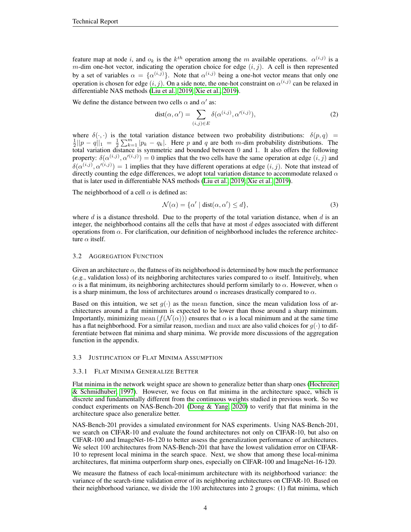feature map at node i, and  $o_k$  is the  $k^{th}$  operation among the m available operations.  $\alpha^{(i,j)}$  is a m-dim one-hot vector, indicating the operation choice for edge  $(i, j)$ . A cell is then represented by a set of variables  $\alpha = {\alpha^{(i,j)}}$ . Note that  $\alpha^{(i,j)}$  being a one-hot vector means that only one operation is chosen for edge  $(i, j)$ . On a side note, the one-hot constraint on  $\alpha^{(i,j)}$  can be relaxed in differentiable NAS methods [\(Liu et al., 2019;](#page-9-0) [Xie et al., 2019\)](#page-9-11).

We define the distance between two cells  $\alpha$  and  $\alpha'$  as:

$$
dist(\alpha, \alpha') = \sum_{(i,j) \in E} \delta(\alpha^{(i,j)}, \alpha'^{(i,j)}),
$$
\n(2)

where  $\delta(\cdot, \cdot)$  is the total variation distance between two probability distributions:  $\delta(p, q) = \frac{1}{2} ||p - q||_1 = \frac{1}{2} \sum_{k=1}^{m} |p_k - q_k|$ . Here p and q are both m-dim probability distributions. The total variation distance is symmetric and bounded between 0 and 1. It also offers the following property:  $\delta(\alpha^{(i,j)}, \alpha'^{(i,j)}) = 0$  implies that the two cells have the same operation at edge  $(i, j)$  and  $\delta(\alpha^{(i,j)}, \alpha'^{(i,j)}) = 1$  implies that they have different operations at edge  $(i, j)$ . Note that instead of directly counting the edge differences, we adopt total variation distance to accommodate relaxed  $\alpha$ that is later used in differentiable NAS methods [\(Liu et al., 2019;](#page-9-0) [Xie et al., 2019\)](#page-9-11).

The neighborhood of a cell  $\alpha$  is defined as:

<span id="page-3-1"></span>
$$
\mathcal{N}(\alpha) = \{ \alpha' \mid \text{dist}(\alpha, \alpha') \le d \},\tag{3}
$$

where  $d$  is a distance threshold. Due to the property of the total variation distance, when  $d$  is an integer, the neighborhood contains all the cells that have at most  $d$  edges associated with different operations from  $\alpha$ . For clarification, our definition of neighborhood includes the reference architecture  $\alpha$  itself.

#### 3.2 AGGREGATION FUNCTION

Given an architecture  $\alpha$ , the flatness of its neighborhood is determined by how much the performance (*e.g.*, validation loss) of its neighboring architectures varies compared to  $\alpha$  itself. Intuitively, when  $\alpha$  is a flat minimum, its neighboring architectures should perform similarly to  $\alpha$ . However, when  $\alpha$ is a sharp minimum, the loss of architectures around  $\alpha$  increases drastically compared to  $\alpha$ .

Based on this intuition, we set  $g(\cdot)$  as the mean function, since the mean validation loss of architectures around a flat minimum is expected to be lower than those around a sharp minimum. Importantly, minimizing mean  $(f(\mathcal{N}(\alpha)))$  ensures that  $\alpha$  is a local minimum and at the same time has a flat neighborhood. For a similar reason, median and max are also valid choices for  $g(\cdot)$  to differentiate between flat minima and sharp minima. We provide more discussions of the aggregation function in the appendix.

#### <span id="page-3-0"></span>3.3 JUSTIFICATION OF FLAT MINIMA ASSUMPTION

#### 3.3.1 FLAT MINIMA GENERALIZE BETTER

Flat minima in the network weight space are shown to generalize better than sharp ones [\(Hochreiter](#page-9-2) [& Schmidhuber, 1997\)](#page-9-2). However, we focus on flat minima in the architecture space, which is discrete and fundamentally different from the continuous weights studied in previous work. So we conduct experiments on NAS-Bench-201 [\(Dong & Yang, 2020\)](#page-8-2) to verify that flat minima in the architecture space also generalize better.

NAS-Bench-201 provides a simulated environment for NAS experiments. Using NAS-Bench-201, we search on CIFAR-10 and evaluate the found architectures not only on CIFAR-10, but also on CIFAR-100 and ImageNet-16-120 to better assess the generalization performance of architectures. We select 100 architectures from NAS-Bench-201 that have the lowest validation error on CIFAR-10 to represent local minima in the search space. Next, we show that among these local-minima architectures, flat minima outperform sharp ones, especially on CIFAR-100 and ImageNet-16-120.

We measure the flatness of each local-minimum architecture with its neighborhood variance: the variance of the search-time validation error of its neighboring architectures on CIFAR-10. Based on their neighborhood variance, we divide the 100 architectures into 2 groups: (1) flat minima, which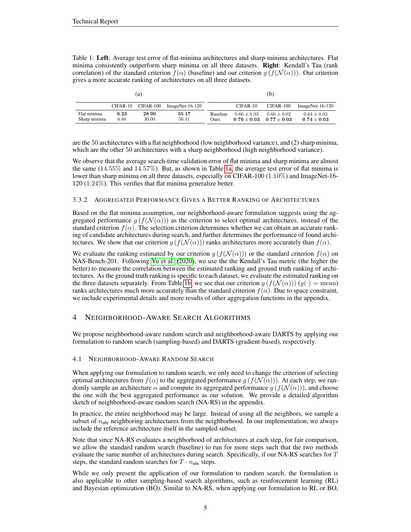<span id="page-4-0"></span>Table 1: Left: Average test error of flat-minima architectures and sharp-minima architectures. Flat minima consistently outperform sharp minima on all three datasets. **Right**: Kendall's Tau (rank correlation) of the standard criterion  $f(\alpha)$  (baseline) and our criterion  $g(f(\mathcal{N}(\alpha)))$ . Our criterion gives a more accurate ranking of architectures on all three datasets.

| (a)                         |              |                |                   |                                | (b)                            |                                |                                    |
|-----------------------------|--------------|----------------|-------------------|--------------------------------|--------------------------------|--------------------------------|------------------------------------|
|                             | CIFAR-10     | CIFAR-100      | $ImageNet-16-120$ |                                | CIFAR-10                       | CIFAR-100                      | $ImageNet-16-120$                  |
| Flat minima<br>Sharp minima | 6.23<br>6.66 | 28.90<br>30.00 | 55.17<br>56.41    | <b>Baseline</b><br><b>Ours</b> | $0.66 + 0.03$<br>$0.76 + 0.03$ | $0.66 + 0.02$<br>$0.77 + 0.03$ | $0.64 \pm 0.03$<br>$0.74 \pm 0.03$ |

are the 50 architectures with a flat neighborhood (low neighborhood variance), and (2) sharp minima, which are the other 50 architectures with a sharp neighborhood (high neighborhood variance).

We observe that the average search-time validation error of flat minima and sharp minima are almost the same  $(14.55\%$  and  $14.57\%)$ . But, as shown in Table [1a,](#page-4-0) the average test error of flat minima is lower than sharp minima on all three datasets, especially on CIFAR-100 (1.10%) and ImageNet-16-120 (1.24%). This verifies that flat minima generalize better.

### 3.3.2 AGGREGATED PERFORMANCE GIVES A BETTER RANKING OF ARCHITECTURES

Based on the flat minima assumption, our neighborhood-aware formulation suggests using the aggregated performance  $g(f(\mathcal{N}(\alpha)))$  as the criterion to select optimal architectures, instead of the standard criterion  $f(\alpha)$ . The selection criterion determines whether we can obtain an accurate ranking of candidate architectures during search, and further determines the performance of found architectures. We show that our criterion  $g(f(\mathcal{N}(\alpha)))$  ranks architectures more accurately than  $f(\alpha)$ .

We evaluate the ranking estimated by our criterion  $g(f(\mathcal{N}(\alpha)))$  or the standard criterion  $f(\alpha)$  on NAS-Bench-201. Following [Yu et al.](#page-10-4) [\(2020\)](#page-10-4), we use the the Kendall's Tau metric (the higher the better) to measure the correlation between the estimated ranking and ground truth ranking of architectures. As the ground truth ranking is specific to each dataset, we evaluate the estimated ranking on the three datasets separately. From Table [1b,](#page-4-0) we see that our criterion  $g(f(\mathcal{N}(\alpha))) (g(\cdot) = \text{mean})$ ranks architectures much more accurately than the standard criterion  $f(\alpha)$ . Due to space constraint, we include experimental details and more results of other aggregation functions in the appendix.

# 4 NEIGHBORHOOD-AWARE SEARCH ALGORITHMS

We propose neighborhood-aware random search and neighborhood-aware DARTS by applying our formulation to random search (sampling-based) and DARTS (gradient-based), respectively.

#### 4.1 NEIGHBORHOOD-AWARE RANDOM SEARCH

When applying our formulation to random search, we only need to change the criterion of selecting optimal architectures from  $f(\alpha)$  to the aggregated performance  $g(f(\mathcal{N}(\alpha)))$ . At each step, we randomly sample an architecture  $\alpha$  and compute its aggregated performance g  $(f(\mathcal{N}(\alpha)))$ , and choose the one with the best aggregated performance as our solution. We provide a detailed algorithm sketch of neighborhood-aware random search (NA-RS) in the appendix.

In practice, the entire neighborhood may be large. Instead of using all the neighbors, we sample a subset of  $n_{\text{nbr}}$  neighboring architectures from the neighborhood. In our implementation, we always include the reference architecture itself in the sampled subset.

Note that since NA-RS evaluates a neighborhood of architectures at each step, for fair comparison, we allow the standard random search (baseline) to run for more steps such that the two methods evaluate the same number of architectures during search. Specifically, if our NA-RS searches for T steps, the standard random searches for  $T \cdot n_{\text{nbr}}$  steps.

While we only present the application of our formulation to random search, the formulation is also applicable to other sampling-based search algorithms, such as reinforcement learning (RL) and Bayesian optimization (BO). Similar to NA-RS, when applying our formulation to RL or BO,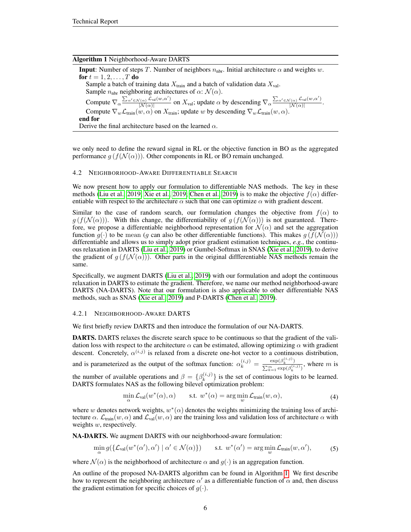<span id="page-5-0"></span>

| <b>Algorithm 1 Neighborhood-Aware DARTS</b>                                                                                                                                                                                                                                                    |
|------------------------------------------------------------------------------------------------------------------------------------------------------------------------------------------------------------------------------------------------------------------------------------------------|
| <b>Input:</b> Number of steps T. Number of neighbors $n_{\text{nbr}}$ . Initial architecture $\alpha$ and weights w.                                                                                                                                                                           |
| <b>for</b> $t = 1, 2, , T$ <b>do</b>                                                                                                                                                                                                                                                           |
| Sample a batch of training data $X_{\text{train}}$ and a batch of validation data $X_{\text{val}}$ .                                                                                                                                                                                           |
| Sample $n_{\text{nbr}}$ neighboring architectures of $\alpha$ : $\mathcal{N}(\alpha)$ .                                                                                                                                                                                                        |
| Compute $\nabla_{\alpha} \frac{\sum_{\alpha' \in \mathcal{N}(\alpha)} \mathcal{L}_{val}(w, \alpha')}{ \mathcal{N}(\alpha) }$ on $X_{val}$ ; update $\alpha$ by descending $\nabla_{\alpha} \frac{\sum_{\alpha' \in \mathcal{N}(\alpha)} \mathcal{L}_{val}(w, \alpha')}{ \mathcal{N}(\alpha) }$ |
| Compute $\nabla_w \mathcal{L}_{\text{train}}(w, \alpha)$ on $X_{\text{train}}$ ; update w by descending $\nabla_w \mathcal{L}_{\text{train}}(w, \alpha)$ .                                                                                                                                     |
| end for                                                                                                                                                                                                                                                                                        |
| Derive the final architecture based on the learned $\alpha$ .                                                                                                                                                                                                                                  |

we only need to define the reward signal in RL or the objective function in BO as the aggregated performance  $g(f(\mathcal{N}(\alpha)))$ . Other components in RL or BO remain unchanged.

#### 4.2 NEIGHBORHOOD-AWARE DIFFERENTIABLE SEARCH

We now present how to apply our formulation to differentiable NAS methods. The key in these methods [\(Liu et al., 2019;](#page-9-0) [Xie et al., 2019;](#page-9-11) [Chen et al., 2019\)](#page-8-6) is to make the objective  $f(\alpha)$  differentiable with respect to the architecture  $\alpha$  such that one can optimize  $\alpha$  with gradient descent.

Similar to the case of random search, our formulation changes the objective from  $f(\alpha)$  to  $g(f(\mathcal{N}(\alpha)))$ . With this change, the differentiability of  $g(f(\mathcal{N}(\alpha)))$  is not guaranteed. Therefore, we propose a differentiable neighborhood representation for  $\mathcal{N}(\alpha)$  and set the aggregation function  $g(\cdot)$  to be mean (g can also be other differentiable functions). This makes  $g(f(\mathcal{N}(\alpha)))$ differentiable and allows us to simply adopt prior gradient estimation techniques, *e.g.*, the continuous relaxation in DARTS [\(Liu et al., 2019\)](#page-9-0) or Gumbel-Softmax in SNAS [\(Xie et al., 2019\)](#page-9-11), to derive the gradient of  $g(f(\mathcal{N}(\alpha)))$ . Other parts in the original differentiable NAS methods remain the same.

Specifically, we augment DARTS [\(Liu et al., 2019\)](#page-9-0) with our formulation and adopt the continuous relaxation in DARTS to estimate the gradient. Therefore, we name our method neighborhood-aware DARTS (NA-DARTS). Note that our formulation is also applicable to other differentiable NAS methods, such as SNAS [\(Xie et al., 2019\)](#page-9-11) and P-DARTS [\(Chen et al., 2019\)](#page-8-6).

#### 4.2.1 NEIGHBORHOOD-AWARE DARTS

We first briefly review DARTS and then introduce the formulation of our NA-DARTS.

DARTS. DARTS relaxes the discrete search space to be continuous so that the gradient of the validation loss with respect to the architecture  $\alpha$  can be estimated, allowing optimizing  $\alpha$  with gradient descent. Concretely,  $\alpha^{(i,j)}$  is relaxed from a discrete one-hot vector to a continuous distribution, and is parameterized as the output of the softmax function:  $\alpha_k^{(i,j)} = \frac{\exp(\beta_k^{(i,j)})}{\sum_{k=1}^m \exp(\beta_k^{(i,j)})}$  $\frac{\exp(\beta_k^{(k)})}{\sum_{k=1}^m \exp(\beta_k^{(i,j)})}$ , where m is the number of available operations and  $\beta = \{\beta_k^{(i,j)}\}$  ${k \choose k}$  is the set of continuous logits to be learned. DARTS formulates NAS as the following bilevel optimization problem:

$$
\min_{\alpha} \mathcal{L}_{\text{val}}(w^*(\alpha), \alpha) \qquad \text{s.t. } w^*(\alpha) = \arg\min_{w} \mathcal{L}_{\text{train}}(w, \alpha), \tag{4}
$$

where w denotes network weights,  $w^*(\alpha)$  denotes the weights minimizing the training loss of architecture  $\alpha$ .  $\mathcal{L}_{\text{train}}(w, \alpha)$  and  $\mathcal{L}_{\text{val}}(w, \alpha)$  are the training loss and validation loss of architecture  $\alpha$  with weights  $w$ , respectively.

NA-DARTS. We augment DARTS with our neighborhood-aware formulation:

<span id="page-5-1"></span>
$$
\min_{\alpha} g(\{\mathcal{L}_{\text{val}}(w^*(\alpha'), \alpha') \mid \alpha' \in \mathcal{N}(\alpha)\}) \qquad \text{s.t. } w^*(\alpha') = \arg\min_{w} \mathcal{L}_{\text{train}}(w, \alpha'), \tag{5}
$$

where  $\mathcal{N}(\alpha)$  is the neighborhood of architecture  $\alpha$  and  $g(\cdot)$  is an aggregation function.

An outline of the proposed NA-DARTS algorithm can be found in Algorithm [1.](#page-5-0) We first describe how to represent the neighboring architecture  $\alpha'$  as a differentiable function of  $\alpha$  and, then discuss the gradient estimation for specific choices of  $g(\cdot)$ .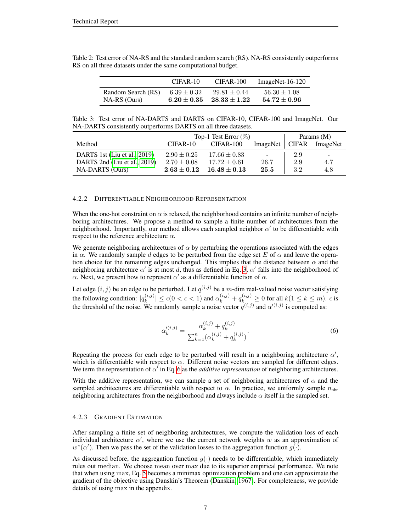|                    | $CIFAR-10$      | $CIFAR-100$      | $ImageNet-16-120$ |
|--------------------|-----------------|------------------|-------------------|
| Random Search (RS) | $6.39 \pm 0.32$ | $29.81 \pm 0.44$ | $56.30 \pm 1.08$  |
| $NA-RS$ (Ours)     | $6.20 \pm 0.35$ | $28.33 \pm 1.22$ | $54.72 \pm 0.96$  |

<span id="page-6-1"></span>Table 2: Test error of NA-RS and the standard random search (RS). NA-RS consistently outperforms RS on all three datasets under the same computational budget.

Table 3: Test error of NA-DARTS and DARTS on CIFAR-10, CIFAR-100 and ImageNet. Our NA-DARTS consistently outperforms DARTS on all three datasets.

|                              | Top-1 Test Error $(\%)$ |                  |                  | Params $(M)$ |          |
|------------------------------|-------------------------|------------------|------------------|--------------|----------|
| Method                       | CIFAR-10                | CIFAR-100        | ImageNet   CIFAR |              | ImageNet |
| DARTS 1st (Liu et al., 2019) | $2.90 \pm 0.25$         | $17.66 \pm 0.83$ | $\sim$           | 2.9          | -        |
| DARTS 2nd (Liu et al., 2019) | $2.70 \pm 0.08$         | $17.72 \pm 0.61$ | 26.7             | 2.9          | 4.7      |
| NA-DARTS (Ours)              | $2.63 \pm 0.12$         | $16.48 \pm 0.13$ | 25.5             | 3.2          | 4.8      |

#### 4.2.2 DIFFERENTIABLE NEIGHBORHOOD REPRESENTATION

When the one-hot constraint on  $\alpha$  is relaxed, the neighborhood contains an infinite number of neighboring architectures. We propose a method to sample a finite number of architectures from the neighborhood. Importantly, our method allows each sampled neighbor  $\alpha'$  to be differentiable with respect to the reference architecture  $\alpha$ .

We generate neighboring architectures of  $\alpha$  by perturbing the operations associated with the edges in  $\alpha$ . We randomly sample d edges to be perturbed from the edge set E of  $\alpha$  and leave the operation choice for the remaining edges unchanged. This implies that the distance between  $\alpha$  and the neighboring architecture  $\alpha'$  is at most d, thus as defined in Eq. [3,](#page-3-1)  $\alpha'$  falls into the neighborhood of  $\alpha$ . Next, we present how to represent  $\alpha'$  as a differentiable function of  $\alpha$ .

Let edge  $(i, j)$  be an edge to be perturbed. Let  $q^{(i,j)}$  be a m-dim real-valued noise vector satisfying the following condition:  $|q_k^{(i,j)}|$  $|\hat{k}_{k}(i,j)| \leq \epsilon (0 < \epsilon < 1)$  and  $\alpha_k^{(i,j)} + q_k^{(i,j)} \geq 0$  for all  $k(1 \leq k \leq m)$ .  $\epsilon$  is the threshold of the noise. We randomly sample a noise vector  $q^{(i,j)}$  and  $\alpha^{\prime(i,j)}$  is computed as:

<span id="page-6-0"></span>
$$
\alpha_k'^{(i,j)} = \frac{\alpha_k^{(i,j)} + q_k^{(i,j)}}{\sum_{k=1}^n (\alpha_k^{(i,j)} + q_k^{(i,j)})}.
$$
\n(6)

Repeating the process for each edge to be perturbed will result in a neighboring architecture  $\alpha'$ , which is differentiable with respect to  $\alpha$ . Different noise vectors are sampled for different edges. We term the representation of  $\alpha^f$  in Eq. [6](#page-6-0) as the *additive representation* of neighboring architectures.

With the additive representation, we can sample a set of neighboring architectures of  $\alpha$  and the sampled architectures are differentiable with respect to  $\alpha$ . In practice, we uniformly sample  $n_{\text{nbr}}$ neighboring architectures from the neighborhood and always include  $\alpha$  itself in the sampled set.

## 4.2.3 GRADIENT ESTIMATION

After sampling a finite set of neighboring architectures, we compute the validation loss of each individual architecture  $\alpha'$ , where we use the current network weights w as an approximation of  $w^*(\alpha')$ . Then we pass the set of the validation losses to the aggregation function  $g(\cdot)$ .

As discussed before, the aggregation function  $g(\cdot)$  needs to be differentiable, which immediately rules out median. We choose mean over max due to its superior empirical performance. We note that when using max, Eq. [5](#page-5-1) becomes a minimax optimization problem and one can approximate the gradient of the objective using Danskin's Theorem [\(Danskin, 1967\)](#page-8-7). For completeness, we provide details of using max in the appendix.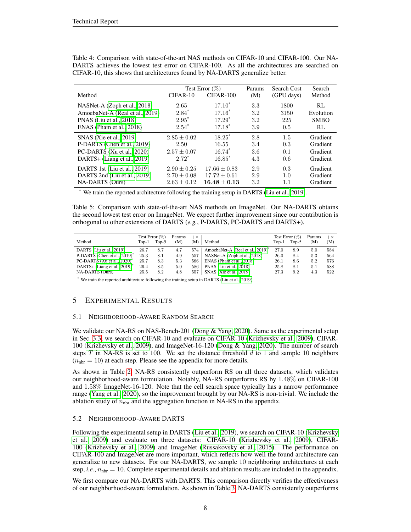| Method                          | $CIFAR-10$      | Test Error $(\%)$<br>$CIFAR-100$ | Params<br>(M) | Search Cost<br>(GPU days) | Search<br>Method |
|---------------------------------|-----------------|----------------------------------|---------------|---------------------------|------------------|
| NASNet-A (Zoph et al., 2018)    | 2.65            | $17.10^*$                        | 3.3           | 1800                      | RL               |
| AmoebaNet-A (Real et al., 2019) | $2.84*$         | $17.16*$                         | 3.2           | 3150                      | Evolution        |
| PNAS (Liu et al., 2018)         | $2.95*$         | $17.29*$                         | 3.2           | 225                       | <b>SMBO</b>      |
| $ENAS$ (Pham et al., 2018)      | $2.54*$         | $17.18*$                         | 3.9           | 0.5                       | RL               |
| SNAS (Xie et al., 2019)         | $2.85 \pm 0.02$ | $18.25^*$                        | 2.8           | 1.5                       | Gradient         |
| P-DARTS (Chen et al., 2019)     | 2.50            | 16.55                            | 3.4           | 0.3                       | Gradient         |
| PC-DARTS (Xu et al., 2020)      | $2.57 \pm 0.07$ | $16.74*$                         | 3.6           | 0.1                       | Gradient         |
| DARTS+ (Liang et al., 2019)     | $2.72^*$        | $16.85*$                         | 4.3           | 0.6                       | Gradient         |
| DARTS 1st (Liu et al., 2019)    | $2.90 + 0.25$   | $17.66 + 0.83$                   | 2.9           | 0.3                       | Gradient         |
| DARTS 2nd (Liu et al., 2019)    | $2.70 \pm 0.08$ | $17.72 \pm 0.61$                 | 2.9           | 1.0                       | Gradient         |
| <b>NA-DARTS</b> (Ours)          | $2.63 \pm 0.12$ | $16.48 + 0.13$                   | 3.2           | 1.1                       | Gradient         |

<span id="page-7-0"></span>Table 4: Comparison with state-of-the-art NAS methods on CIFAR-10 and CIFAR-100. Our NA-DARTS achieves the lowest test error on CIFAR-100. As all the architectures are searched on CIFAR-10, this shows that architectures found by NA-DARTS generalize better.

\* We train the reported architecture following the training setup in DARTS [\(Liu et al., 2019\)](#page-9-0).

<span id="page-7-1"></span>Table 5: Comparison with state-of-the-art NAS methods on ImageNet. Our NA-DARTS obtains the second lowest test error on ImageNet. We expect further improvement since our contribution is orthogonal to other extensions of DARTS (*e.g.*, P-DARTS, PC-DARTS and DARTS+).

| Method                                   | Top-1 | Test Error $(\%)$<br>$Top-5$ | Params<br>(M) | $+ \times$<br>(M) | Method                                       | Top-1 | Test Error $(\%)$<br>Top-5 | Params<br>(M) | $+ \times$<br>(M) |
|------------------------------------------|-------|------------------------------|---------------|-------------------|----------------------------------------------|-------|----------------------------|---------------|-------------------|
|                                          |       |                              |               |                   |                                              |       |                            |               |                   |
| DARTS (Liu et al., 2019)                 | 26.7  | 8.7                          | 4.7           | 574               | AmoebaNet-A (Real et al., 2019) <sup>*</sup> | 27.0  | 8.9                        | 5.0           | 584               |
| P-DARTS (Chen et al., 2019) <sup>*</sup> | 25.3  | 8.1                          | 4.9           | 557               | NASNet-A (Zoph et al., 2018)                 | 26.0  | 8.4                        | 5.3           | 564               |
| PC-DARTS (Xu et al., 2020) <sup>*</sup>  | 25.7  | 8.3                          | 5.3           | 586               | ENAS (Pham et al., 2018) <sup>*</sup>        | 26.1  | 8.6                        | 5.2           | 576               |
| DARTS+ (Liang et al., 2019) <sup>*</sup> | 26.4  | 8.5                          | 5.0           | 586               | PNAS (Liu et al., 2018)                      | 25.8  | 8.1                        | 5.1           | 588               |
| NA-DARTS (Ours)                          | 25.5  | 8.2                          | 4.8           | 557               | SNAS (Xie et al., 2019)                      | 27.3  | 9.2                        | 4.3           | 522               |

\* We train the reported architecture following the training setup in DARTS [\(Liu et al., 2019\)](#page-9-0).

# 5 EXPERIMENTAL RESULTS

# 5.1 NEIGHBORHOOD-AWARE RANDOM SEARCH

We validate our NA-RS on NAS-Bench-201 [\(Dong & Yang, 2020\)](#page-8-2). Same as the experimental setup in Sec. [3.3,](#page-3-0) we search on CIFAR-10 and evaluate on CIFAR-10 [\(Krizhevsky et al., 2009\)](#page-9-14), CIFAR-100 [\(Krizhevsky et al., 2009\)](#page-9-14), and ImageNet-16-120 [\(Dong & Yang, 2020\)](#page-8-2). The number of search steps T in NA-RS is set to 100. We set the distance threshold  $d$  to 1 and sample 10 neighbors  $(n_{\text{nbr}} = 10)$  at each step. Please see the appendix for more details.

As shown in Table [2,](#page-6-1) NA-RS consistently outperform RS on all three datasets, which validates our neighborhood-aware formulation. Notably, NA-RS outperforms RS by 1.48% on CIFAR-100 and 1.58% ImageNet-16-120. Note that the cell search space typically has a narrow performance range [\(Yang et al., 2020\)](#page-9-15), so the improvement brought by our NA-RS is non-trivial. We include the ablation study of  $n_{\text{nbr}}$  and the aggregation function in NA-RS in the appendix.

# 5.2 NEIGHBORHOOD-AWARE DARTS

Following the experimental setup in DARTS [\(Liu et al., 2019\)](#page-9-0), we search on CIFAR-10 [\(Krizhevsky](#page-9-14) [et al., 2009\)](#page-9-14) and evaluate on three datasets: CIFAR-10 [\(Krizhevsky et al., 2009\)](#page-9-14), CIFAR-100 [\(Krizhevsky et al., 2009\)](#page-9-14) and ImageNet [\(Russakovsky et al., 2015\)](#page-9-16). The performance on CIFAR-100 and ImageNet are more important, which reflects how well the found architecture can generalize to new datasets. For our NA-DARTS, we sample 10 neighboring architectures at each step, *i.e.*,  $n_{\text{nbr}} = 10$ . Complete experimental details and ablation results are included in the appendix.

We first compare our NA-DARTS with DARTS. This comparison directly verifies the effectiveness of our neighborhood-aware formulation. As shown in Table [3,](#page-6-1) NA-DARTS consistently outperforms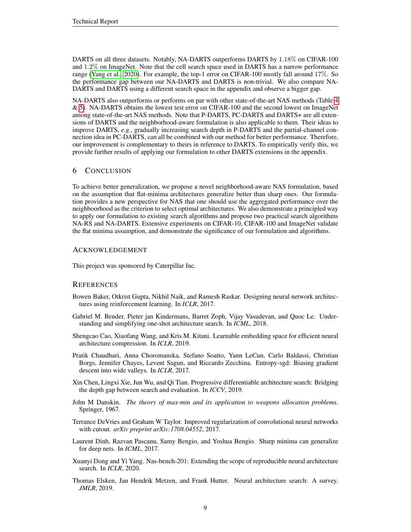DARTS on all three datasets. Notably, NA-DARTS outperforms DARTS by 1.18% on CIFAR-100 and 1.2% on ImageNet. Note that the cell search space used in DARTS has a narrow performance range [\(Yang et al., 2020\)](#page-9-15). For example, the top-1 error on CIFAR-100 mostly fall around 17%. So the performance gap between our NA-DARTS and DARTS is non-trivial. We also compare NA-DARTS and DARTS using a different search space in the appendix and observe a bigger gap.

NA-DARTS also outperforms or performs on par with other state-of-the-art NAS methods (Table [4](#page-7-0) & [5\)](#page-7-1). NA-DARTS obtains the lowest test error on CIFAR-100 and the second lowest on ImageNet among state-of-the-art NAS methods. Note that P-DARTS, PC-DARTS and DARTS+ are all extensions of DARTS and the neighborhood-aware formulation is also applicable to them. Their ideas to improve DARTS, *e.g.*, gradually increasing search depth in P-DARTS and the partial-channel connection idea in PC-DARTS, can all be combined with our method for better performance. Therefore, our improvement is complementary to theirs in reference to DARTS. To empirically verify this, we provide further results of applying our formulation to other DARTS extensions in the appendix.

# 6 CONCLUSION

To achieve better generalization, we propose a novel neighborhood-aware NAS formulation, based on the assumption that flat-minima architectures generalize better than sharp ones. Our formulation provides a new perspective for NAS that one should use the aggregated performance over the neighboorhood as the criterion to select optimal architectures. We also demonstrate a principled way to apply our formulation to existing search algorithms and propose two practical search algorithms NA-RS and NA-DARTS. Extensive experiments on CIFAR-10, CIFAR-100 and ImageNet validate the flat minima assumption, and demonstrate the significance of our formulation and algorithms.

### ACKNOWLEDGEMENT

This project was sponsored by Caterpillar Inc.

## **REFERENCES**

- <span id="page-8-3"></span>Bowen Baker, Otkrist Gupta, Nikhil Naik, and Ramesh Raskar. Designing neural network architectures using reinforcement learning. In *ICLR*, 2017.
- <span id="page-8-5"></span>Gabriel M. Bender, Pieter jan Kindermans, Barret Zoph, Vijay Vasudevan, and Quoc Le. Understanding and simplifying one-shot architecture search. In *ICML*, 2018.
- <span id="page-8-4"></span>Shengcao Cao, Xiaofang Wang, and Kris M. Kitani. Learnable embedding space for efficient neural architecture compression. In *ICLR*, 2019.
- <span id="page-8-0"></span>Pratik Chaudhari, Anna Choromanska, Stefano Soatto, Yann LeCun, Carlo Baldassi, Christian Borgs, Jennifer Chayes, Levent Sagun, and Riccardo Zecchina. Entropy-sgd: Biasing gradient descent into wide valleys. In *ICLR*, 2017.
- <span id="page-8-6"></span>Xin Chen, Lingxi Xie, Jun Wu, and Qi Tian. Progressive differentiable architecture search: Bridging the depth gap between search and evaluation. In *ICCV*, 2019.
- <span id="page-8-7"></span>John M Danskin. *The theory of max-min and its application to weapons allocation problems*. Springer, 1967.
- <span id="page-8-9"></span>Terrance DeVries and Graham W Taylor. Improved regularization of convolutional neural networks with cutout. *arXiv preprint arXiv:1708.04552*, 2017.
- <span id="page-8-1"></span>Laurent Dinh, Razvan Pascanu, Samy Bengio, and Yoshua Bengio. Sharp minima can generalize for deep nets. In *ICML*, 2017.
- <span id="page-8-2"></span>Xuanyi Dong and Yi Yang. Nas-bench-201: Extending the scope of reproducible neural architecture search. In *ICLR*, 2020.
- <span id="page-8-8"></span>Thomas Elsken, Jan Hendrik Metzen, and Frank Hutter. Neural architecture search: A survey. *JMLR*, 2019.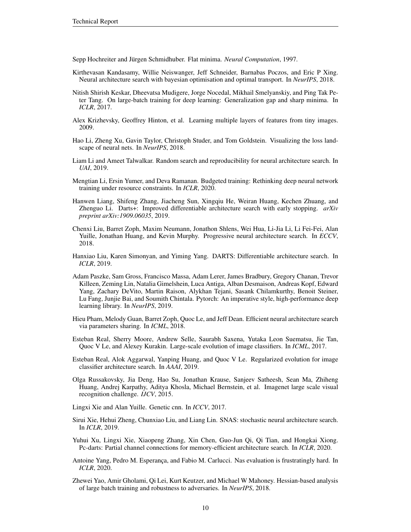<span id="page-9-2"></span>Sepp Hochreiter and Jürgen Schmidhuber. Flat minima. *Neural Computation*, 1997.

- <span id="page-9-6"></span>Kirthevasan Kandasamy, Willie Neiswanger, Jeff Schneider, Barnabas Poczos, and Eric P Xing. Neural architecture search with bayesian optimisation and optimal transport. In *NeurIPS*, 2018.
- <span id="page-9-3"></span>Nitish Shirish Keskar, Dheevatsa Mudigere, Jorge Nocedal, Mikhail Smelyanskiy, and Ping Tak Peter Tang. On large-batch training for deep learning: Generalization gap and sharp minima. In *ICLR*, 2017.
- <span id="page-9-14"></span>Alex Krizhevsky, Geoffrey Hinton, et al. Learning multiple layers of features from tiny images. 2009.
- <span id="page-9-19"></span>Hao Li, Zheng Xu, Gavin Taylor, Christoph Studer, and Tom Goldstein. Visualizing the loss landscape of neural nets. In *NeurIPS*, 2018.
- <span id="page-9-5"></span>Liam Li and Ameet Talwalkar. Random search and reproducibility for neural architecture search. In *UAI*, 2019.
- <span id="page-9-18"></span>Mengtian Li, Ersin Yumer, and Deva Ramanan. Budgeted training: Rethinking deep neural network training under resource constraints. In *ICLR*, 2020.
- <span id="page-9-13"></span>Hanwen Liang, Shifeng Zhang, Jiacheng Sun, Xingqiu He, Weiran Huang, Kechen Zhuang, and Zhenguo Li. Darts+: Improved differentiable architecture search with early stopping. *arXiv preprint arXiv:1909.06035*, 2019.
- <span id="page-9-10"></span>Chenxi Liu, Barret Zoph, Maxim Neumann, Jonathon Shlens, Wei Hua, Li-Jia Li, Li Fei-Fei, Alan Yuille, Jonathan Huang, and Kevin Murphy. Progressive neural architecture search. In *ECCV*, 2018.
- <span id="page-9-0"></span>Hanxiao Liu, Karen Simonyan, and Yiming Yang. DARTS: Differentiable architecture search. In *ICLR*, 2019.
- <span id="page-9-17"></span>Adam Paszke, Sam Gross, Francisco Massa, Adam Lerer, James Bradbury, Gregory Chanan, Trevor Killeen, Zeming Lin, Natalia Gimelshein, Luca Antiga, Alban Desmaison, Andreas Kopf, Edward Yang, Zachary DeVito, Martin Raison, Alykhan Tejani, Sasank Chilamkurthy, Benoit Steiner, Lu Fang, Junjie Bai, and Soumith Chintala. Pytorch: An imperative style, high-performance deep learning library. In *NeurIPS*, 2019.
- <span id="page-9-1"></span>Hieu Pham, Melody Guan, Barret Zoph, Quoc Le, and Jeff Dean. Efficient neural architecture search via parameters sharing. In *ICML*, 2018.
- <span id="page-9-8"></span>Esteban Real, Sherry Moore, Andrew Selle, Saurabh Saxena, Yutaka Leon Suematsu, Jie Tan, Quoc V Le, and Alexey Kurakin. Large-scale evolution of image classifiers. In *ICML*, 2017.
- <span id="page-9-9"></span>Esteban Real, Alok Aggarwal, Yanping Huang, and Quoc V Le. Regularized evolution for image classifier architecture search. In *AAAI*, 2019.
- <span id="page-9-16"></span>Olga Russakovsky, Jia Deng, Hao Su, Jonathan Krause, Sanjeev Satheesh, Sean Ma, Zhiheng Huang, Andrej Karpathy, Aditya Khosla, Michael Bernstein, et al. Imagenet large scale visual recognition challenge. *IJCV*, 2015.
- <span id="page-9-7"></span>Lingxi Xie and Alan Yuille. Genetic cnn. In *ICCV*, 2017.
- <span id="page-9-11"></span>Sirui Xie, Hehui Zheng, Chunxiao Liu, and Liang Lin. SNAS: stochastic neural architecture search. In *ICLR*, 2019.
- <span id="page-9-12"></span>Yuhui Xu, Lingxi Xie, Xiaopeng Zhang, Xin Chen, Guo-Jun Qi, Qi Tian, and Hongkai Xiong. Pc-darts: Partial channel connections for memory-efficient architecture search. In *ICLR*, 2020.
- <span id="page-9-15"></span>Antoine Yang, Pedro M. Esperança, and Fabio M. Carlucci. Nas evaluation is frustratingly hard. In *ICLR*, 2020.
- <span id="page-9-4"></span>Zhewei Yao, Amir Gholami, Qi Lei, Kurt Keutzer, and Michael W Mahoney. Hessian-based analysis of large batch training and robustness to adversaries. In *NeurIPS*, 2018.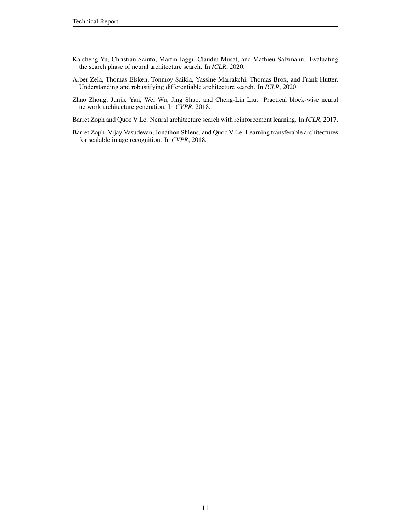- <span id="page-10-4"></span>Kaicheng Yu, Christian Sciuto, Martin Jaggi, Claudiu Musat, and Mathieu Salzmann. Evaluating the search phase of neural architecture search. In *ICLR*, 2020.
- <span id="page-10-2"></span>Arber Zela, Thomas Elsken, Tonmoy Saikia, Yassine Marrakchi, Thomas Brox, and Frank Hutter. Understanding and robustifying differentiable architecture search. In *ICLR*, 2020.
- <span id="page-10-3"></span>Zhao Zhong, Junjie Yan, Wei Wu, Jing Shao, and Cheng-Lin Liu. Practical block-wise neural network architecture generation. In *CVPR*, 2018.

<span id="page-10-0"></span>Barret Zoph and Quoc V Le. Neural architecture search with reinforcement learning. In *ICLR*, 2017.

<span id="page-10-1"></span>Barret Zoph, Vijay Vasudevan, Jonathon Shlens, and Quoc V Le. Learning transferable architectures for scalable image recognition. In *CVPR*, 2018.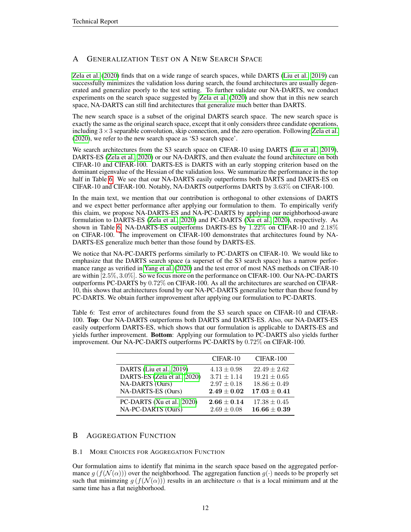# A GENERALIZATION TEST ON A NEW SEARCH SPACE

[Zela et al.](#page-10-2) [\(2020\)](#page-10-2) finds that on a wide range of search spaces, while DARTS [\(Liu et al., 2019\)](#page-9-0) can successfully minimizes the validation loss during search, the found architectures are usually degenerated and generalize poorly to the test setting. To further validate our NA-DARTS, we conduct experiments on the search space suggested by [Zela et al.](#page-10-2) [\(2020\)](#page-10-2) and show that in this new search space, NA-DARTS can still find architectures that generalize much better than DARTS.

The new search space is a subset of the original DARTS search space. The new search space is exactly the same as the original search space, except that it only considers three candidate operations, including  $3 \times 3$  separable convolution, skip connection, and the zero operation. Following [Zela et al.](#page-10-2) [\(2020\)](#page-10-2), we refer to the new search space as 'S3 search space'.

We search architectures from the S3 search space on CIFAR-10 using DARTS [\(Liu et al., 2019\)](#page-9-0), DARTS-ES [\(Zela et al., 2020\)](#page-10-2) or our NA-DARTS, and then evaluate the found architecture on both CIFAR-10 and CIFAR-100. DARTS-ES is DARTS with an early stopping criterion based on the dominant eigenvalue of the Hessian of the validation loss. We summarize the performance in the top half in Table [6.](#page-11-0) We see that our NA-DARTS easily outperforms both DARTS and DARTS-ES on CIFAR-10 and CIFAR-100. Notably, NA-DARTS outperforms DARTS by 3.63% on CIFAR-100.

In the main text, we mention that our contribution is orthogonal to other extensions of DARTS and we expect better performance after applying our formulation to them. To empirically verify this claim, we propose NA-DARTS-ES and NA-PC-DARTS by applying our neighborhood-aware formulation to DARTS-ES [\(Zela et al., 2020\)](#page-10-2) and PC-DARTS [\(Xu et al., 2020\)](#page-9-12), respectively. As shown in Table [6,](#page-11-0) NA-DARTS-ES outperforms DARTS-ES by 1.22% on CIFAR-10 and 2.18% on CIFAR-100. The improvement on CIFAR-100 demonstrates that architectures found by NA-DARTS-ES generalize much better than those found by DARTS-ES.

We notice that NA-PC-DARTS performs similarly to PC-DARTS on CIFAR-10. We would like to emphasize that the DARTS search space (a superset of the S3 search space) has a narrow performance range as verified in [Yang et al.](#page-9-15) [\(2020\)](#page-9-15) and the test error of most NAS methods on CIFAR-10 are within [2.5%, 3.0%]. So we focus more on the performance on CIFAR-100. Our NA-PC-DARTS outperforms PC-DARTS by 0.72% on CIFAR-100. As all the architectures are searched on CIFAR-10, this shows that architectures found by our NA-PC-DARTS generalize better than those found by PC-DARTS. We obtain further improvement after applying our formulation to PC-DARTS.

<span id="page-11-0"></span>Table 6: Test error of architectures found from the S3 search space on CIFAR-10 and CIFAR-100. Top: Our NA-DARTS outperforms both DARTS and DARTS-ES. Also, our NA-DARTS-ES easily outperform DARTS-ES, which shows that our formulation is applicable to DARTS-ES and yields further improvement. Bottom: Applying our formulation to PC-DARTS also yields further improvement. Our NA-PC-DARTS outperforms PC-DARTS by 0.72% on CIFAR-100.

|                                                  | $CIFAR-10$                         | $CIFAR-100$                          |
|--------------------------------------------------|------------------------------------|--------------------------------------|
| DARTS (Liu et al., 2019)                         | $4.13 \pm 0.98$                    | $22.49 \pm 2.62$                     |
| DARTS-ES (Zela et al., 2020)                     | $3.71 \pm 1.14$                    | $19.21 \pm 0.65$                     |
| NA-DARTS (Ours)                                  | $2.97 \pm 0.18$                    | $18.86 \pm 0.49$                     |
| NA-DARTS-ES (Ours)                               | $2.49\pm0.02$                      | $17.03\pm0.41$                       |
| PC-DARTS (Xu et al., 2020)<br>NA-PC-DARTS (Ours) | $2.66 \pm 0.14$<br>$2.69 \pm 0.08$ | $17.38 \pm 0.45$<br>$16.66 \pm 0.39$ |

# B AGGREGATION FUNCTION

# B.1 MORE CHOICES FOR AGGREGATION FUNCTION

Our formulation aims to identify flat minima in the search space based on the aggregated performance  $q(f(\mathcal{N}(\alpha)))$  over the neighborhood. The aggregation function  $q(\cdot)$  needs to be properly set such that minimzing  $g(f(\mathcal{N}(\alpha)))$  results in an architecture  $\alpha$  that is a local minimum and at the same time has a flat neighborhood.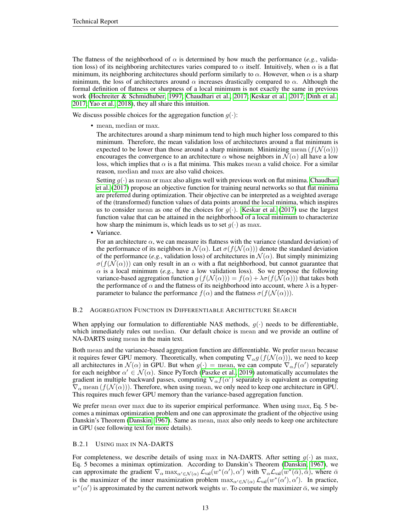The flatness of the neighborhood of  $\alpha$  is determined by how much the performance (*e.g.*, validation loss) of its neighboring architectures varies compared to  $\alpha$  itself. Intuitively, when  $\alpha$  is a flat minimum, its neighboring architectures should perform similarly to  $\alpha$ . However, when  $\alpha$  is a sharp minimum, the loss of architectures around  $\alpha$  increases drastically compared to  $\alpha$ . Although the formal definition of flatness or sharpness of a local minimum is not exactly the same in previous work [\(Hochreiter & Schmidhuber, 1997;](#page-9-2) [Chaudhari et al., 2017;](#page-8-0) [Keskar et al., 2017;](#page-9-3) [Dinh et al.,](#page-8-1) [2017;](#page-8-1) [Yao et al., 2018\)](#page-9-4), they all share this intuition.

We discuss possible choices for the aggregation function  $g(\cdot)$ :

• mean, median or max.

The architectures around a sharp minimum tend to high much higher loss compared to this minimum. Therefore, the mean validation loss of architectures around a flat minimum is expected to be lower than those around a sharp minimum. Minimizing mean  $(f(\mathcal{N}(\alpha)))$ encourages the convergence to an architecture  $\alpha$  whose neighbors in  $\mathcal{N}(\alpha)$  all have a low loss, which implies that  $\alpha$  is a flat minima. This makes mean a valid choice. For a similar reason, median and max are also valid choices.

Setting  $g(\cdot)$  as mean or max also aligns well with previous work on flat minima. [Chaudhari](#page-8-0) [et al.](#page-8-0) [\(2017\)](#page-8-0) propose an objective function for training neural networks so that flat minima are preferred during optimization. Their objective can be interpreted as a weighted average of the (transformed) function values of data points around the local minima, which inspires us to consider mean as one of the choices for  $g(\cdot)$ . [Keskar et al.](#page-9-3) [\(2017\)](#page-9-3) use the largest function value that can be attained in the neighborhood of a local minimum to characterize how sharp the minimum is, which leads us to set  $g(\cdot)$  as max.

• Variance.

For an architecture  $\alpha$ , we can measure its flatness with the variance (standard deviation) of the performance of its neighbors in  $\mathcal{N}(\alpha)$ . Let  $\sigma(f(\mathcal{N}(\alpha)))$  denote the standard deviation of the performance (*e.g.*, validation loss) of architectures in  $\mathcal{N}(\alpha)$ . But simply minimizing  $\sigma(f(\mathcal{N}(\alpha)))$  can only result in an  $\alpha$  with a flat neighborhood, but cannot guarantee that  $\alpha$  is a local minimum (*e.g.*, have a low validation loss). So we propose the following variance-based aggregation function  $q(f(\mathcal{N}(\alpha))) = f(\alpha) + \lambda \sigma(f(\mathcal{N}(\alpha)))$  that takes both the performance of  $\alpha$  and the flatness of its neighborhood into account, where  $\lambda$  is a hyperparameter to balance the performance  $f(\alpha)$  and the flatness  $\sigma(f(\mathcal{N}(\alpha)))$ .

### B.2 AGGREGATION FUNCTION IN DIFFERENTIABLE ARCHITECTURE SEARCH

When applying our formulation to differentiable NAS methods,  $q(\cdot)$  needs to be differentiable, which immediately rules out median. Our default choice is mean and we provide an outline of NA-DARTS using mean in the main text.

Both mean and the variance-based aggregation function are differentiable. We prefer mean because it requires fewer GPU memory. Theoretically, when computing  $\nabla_{\alpha} g(f(\mathcal{N}(\alpha)))$ , we need to keep all architectures in  $\mathcal{N}(\alpha)$  in GPU. But when  $g(\cdot)$  = mean, we can compute  $\nabla_{\alpha} f(\alpha')$  separately for each neighbor  $\alpha' \in \mathcal{N}(\alpha)$ . Since PyTorch [\(Paszke et al., 2019\)](#page-9-17) automatically accumulates the gradient in multiple backward passes, computing  $\nabla_{\alpha} f(\alpha')$  separately is equivalent as computing  $\nabla_{\alpha}$  mean  $(f(\mathcal{N}(\alpha)))$ . Therefore, when using mean, we only need to keep one architecture in GPU. This requires much fewer GPU memory than the variance-based aggregation function.

We prefer mean over max due to its superior empirical performance. When using max, Eq. 5 becomes a minimax optimization problem and one can approximate the gradient of the objective using Danskin's Theorem [\(Danskin, 1967\)](#page-8-7). Same as mean, max also only needs to keep one architecture in GPU (see following text for more details).

#### B.2.1 USING max IN NA-DARTS

For completeness, we describe details of using max in NA-DARTS. After setting  $g(\cdot)$  as max, Eq. 5 becomes a minimax optimization. According to Danskin's Theorem [\(Danskin, 1967\)](#page-8-7), we can approximate the gradient  $\nabla_{\alpha}$  max $_{\alpha' \in \mathcal{N}(\alpha)}$   $\mathcal{L}_{val}(w^*(\alpha'), \alpha')$  with  $\nabla_{\alpha} \mathcal{L}_{val}(w^*(\bar{\alpha}), \bar{\alpha})$ , where  $\bar{\alpha}$ is the maximizer of the inner maximization problem  $\max_{\alpha' \in \mathcal{N}(\alpha)} \mathcal{L}_{val}(w^*(\alpha'), \alpha')$ . In practice,  $w^*(\alpha')$  is approximated by the current network weights w. To compute the maximizer  $\bar{\alpha}$ , we simply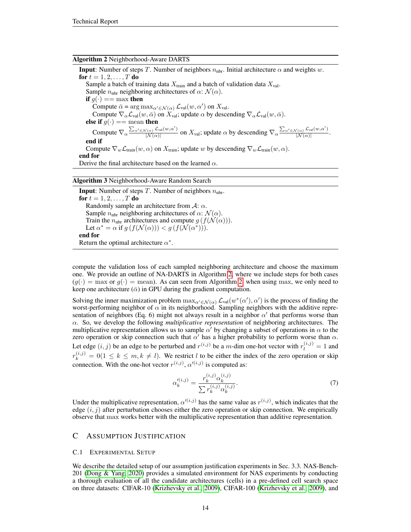#### <span id="page-13-0"></span>Algorithm 2 Neighborhood-Aware DARTS

**Input:** Number of steps T. Number of neighbors  $n_{\text{nbr}}$ . Initial architecture  $\alpha$  and weights w. for  $t = 1, 2, ..., T$  do Sample a batch of training data  $X_{\text{train}}$  and a batch of validation data  $X_{\text{val}}$ . Sample  $n_{\text{nbr}}$  neighboring architectures of  $\alpha$ :  $\mathcal{N}(\alpha)$ . if  $g(\cdot) == \max$  then Compute  $\bar{\alpha} = \arg \max_{\alpha' \in \mathcal{N}(\alpha)} \mathcal{L}_{val}(w, \alpha')$  on  $X_{val}$ . Compute  $\nabla_{\alpha} \mathcal{L}_{val}(w, \bar{\alpha})$  on  $X_{val}$ ; update  $\alpha$  by descending  $\nabla_{\alpha} \mathcal{L}_{val}(w, \bar{\alpha})$ . else if  $g(\cdot) ==$  mean then Compute  $\nabla_{\alpha} \frac{\sum_{\alpha' \in \mathcal{N}(\alpha)} \mathcal{L}_{val}(w, \alpha')}{|\mathcal{N}(\alpha)|}$  $\frac{\int_{N(\alpha)} \mathcal{L}_{val}(w, \alpha')}{|\mathcal{N}(\alpha)|}$  on  $X_{val}$ ; update  $\alpha$  by descending  $\nabla_{\alpha} \frac{\sum_{\alpha' \in \mathcal{N}(\alpha)} \mathcal{L}_{val}(w, \alpha')}{|\mathcal{N}(\alpha)|}$  $\frac{N(\alpha)}{|N(\alpha)|}$ . end if Compute  $\nabla_w \mathcal{L}_{\text{train}}(w, \alpha)$  on  $X_{\text{train}}$ ; update w by descending  $\nabla_w \mathcal{L}_{\text{train}}(w, \alpha)$ . end for Derive the final architecture based on the learned  $\alpha$ .

<span id="page-13-1"></span>Algorithm 3 Neighborhood-Aware Random Search

**Input**: Number of steps T. Number of neighbors  $n_{\text{nbr}}$ . for  $t = 1, 2, ..., T$  do Randomly sample an architecture from  $\mathcal{A}$ :  $\alpha$ . Sample  $n_{\text{nbr}}$  neighboring architectures of  $\alpha$ :  $\mathcal{N}(\alpha)$ . Train the  $n_{\text{nbr}}$  architectures and compute  $g(f(\mathcal{N}(\alpha)))$ . Let  $\alpha^* = \alpha$  if  $g(f(\mathcal{N}(\alpha))) < g(f(\mathcal{N}(\alpha^*))).$ end for Return the optimal architecture  $\alpha^*$ .

compute the validation loss of each sampled neighboring architecture and choose the maximum one. We provide an outline of NA-DARTS in Algorithm [2,](#page-13-0) where we include steps for both cases  $(q(\cdot) = \max \text{ or } q(\cdot) = \text{mean})$ . As can seen from Algorithm [2,](#page-13-0) when using max, we only need to keep one architecture  $(\bar{\alpha})$  in GPU during the gradient computation.

Solving the inner maximization problem  $\max_{\alpha' \in \mathcal{N}(\alpha)} \mathcal{L}_{val}(w^*(\alpha'), \alpha')$  is the process of finding the worst-performing neighbor of  $\alpha$  in its neighborhood. Sampling neighbors with the additive representation of neighbors (Eq. 6) might not always result in a neighbor  $\alpha'$  that performs worse than α. So, we develop the following *multiplicative representation* of neighboring architectures. The multiplicative representation allows us to sample  $\alpha'$  by changing a subset of operations in  $\alpha$  to the zero operation or skip connection such that  $\alpha'$  has a higher probability to perform worse than  $\alpha$ . Let edge  $(i, j)$  be an edge to be perturbed and  $r^{(i,j)}$  be a m-dim one-hot vector with  $r_l^{(i,j)} = 1$  and  $r_k^{(i,j)} = 0(1 \le k \le m, k \ne l)$ . We restrict l to be either the index of the zero operation or skip connection. With the one-hot vector  $r^{(i,j)}$ ,  $\alpha^{(i,j)}$  is computed as:

$$
\alpha_k'^{(i,j)} = \frac{r_k^{(i,j)} \alpha_k^{(i,j)}}{\sum r_k^{(i,j)} \alpha_k^{(i,j)}}.
$$
\n(7)

Under the multiplicative representation,  $\alpha^{(i,j)}$  has the same value as  $r^{(i,j)}$ , which indicates that the edge  $(i, j)$  after perturbation chooses either the zero operation or skip connection. We empirically observe that max works better with the multiplicative representation than additive representation.

### C ASSUMPTION JUSTIFICATION

#### C.1 EXPERIMENTAL SETUP

We describe the detailed setup of our assumption justification experiments in Sec. 3.3. NAS-Bench-201 [\(Dong & Yang, 2020\)](#page-8-2) provides a simulated environment for NAS experiments by conducting a thorough evaluation of all the candidate architectures (cells) in a pre-defined cell search space on three datasets: CIFAR-10 [\(Krizhevsky et al., 2009\)](#page-9-14), CIFAR-100 [\(Krizhevsky et al., 2009\)](#page-9-14), and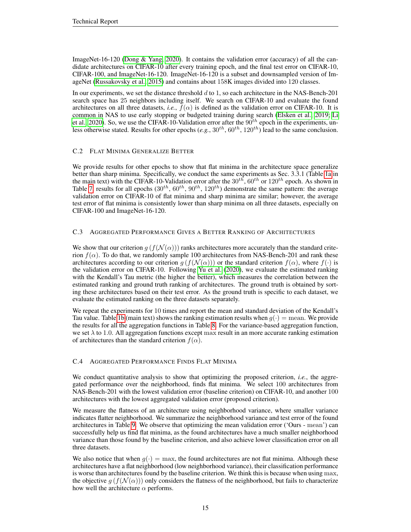ImageNet-16-120 [\(Dong & Yang, 2020\)](#page-8-2). It contains the validation error (accuracy) of all the candidate architectures on CIFAR-10 after every training epoch, and the final test error on CIFAR-10, CIFAR-100, and ImageNet-16-120. ImageNet-16-120 is a subset and downsampled version of ImageNet [\(Russakovsky et al., 2015\)](#page-9-16) and contains about 158K images divided into 120 classes.

In our experiments, we set the distance threshold  $d$  to 1, so each architecture in the NAS-Bench-201 search space has 25 neighbors including itself. We search on CIFAR-10 and evaluate the found architectures on all three datasets, *i.e.*,  $f(\alpha)$  is defined as the validation error on CIFAR-10. It is common in NAS to use early stopping or budgeted training during search [\(Elsken et al., 2019;](#page-8-8) [Li](#page-9-18) [et al., 2020\)](#page-9-18). So, we use the CIFAR-10-Validation error after the  $90^{th}$  epoch in the experiments, unless otherwise stated. Results for other epochs  $(e.g., 30^{th}, 60^{th}, 120^{th})$  lead to the same conclusion.

# C.2 FLAT MINIMA GENERALIZE BETTER

We provide results for other epochs to show that flat minima in the architecture space generalize better than sharp minima. Specifically, we conduct the same experiments as Sec. 3.3.1 (Table [1a](#page-4-0) in the main text) with the CIFAR-10-Validation error after the  $30^{th}$ ,  $60^{th}$  or  $120^{th}$  epoch. As shown in Table [7,](#page-15-0) results for all epochs  $(30^{th}, 60^{th}, 90^{th}, 120^{th})$  demonstrate the same pattern: the average validation error on CIFAR-10 of flat minima and sharp minima are similar; however, the average test error of flat minima is consistently lower than sharp minima on all three datasets, especially on CIFAR-100 and ImageNet-16-120.

# C.3 AGGREGATED PERFORMANCE GIVES A BETTER RANKING OF ARCHITECTURES

We show that our criterion  $g(f(\mathcal{N}(\alpha)))$  ranks architectures more accurately than the standard criterion  $f(\alpha)$ . To do that, we randomly sample 100 architectures from NAS-Bench-201 and rank these architectures according to our criterion  $g(f(\mathcal{N}(\alpha)))$  or the standard criterion  $f(\alpha)$ , where  $f(\cdot)$  is the validation error on CIFAR-10. Following [Yu et al.](#page-10-4) [\(2020\)](#page-10-4), we evaluate the estimated ranking with the Kendall's Tau metric (the higher the better), which measures the correlation between the estimated ranking and ground truth ranking of architectures. The ground truth is obtained by sorting these architectures based on their test error. As the ground truth is specific to each dataset, we evaluate the estimated ranking on the three datasets separately.

We repeat the experiments for 10 times and report the mean and standard deviation of the Kendall's Tau value. Table [1b](#page-4-0) (main text) shows the ranking estimation results when  $g(\cdot) = \text{mean}$ . We provide the results for all the aggregation functions in Table [8.](#page-15-0) For the variance-based aggregation function, we set  $\lambda$  to 1.0. All aggregation functions except max result in an more accurate ranking estimation of architectures than the standard criterion  $f(\alpha)$ .

# C.4 AGGREGATED PERFORMANCE FINDS FLAT MINIMA

We conduct quantitative analysis to show that optimizing the proposed criterion, *i.e.*, the aggregated performance over the neighborhood, finds flat minima. We select 100 architectures from NAS-Bench-201 with the lowest validation error (baseline criterion) on CIFAR-10, and another 100 architectures with the lowest aggregated validation error (proposed criterion).

We measure the flatness of an architecture using neighborhood variance, where smaller variance indicates flatter neighborhood. We summarize the neighborhood variance and test error of the found architectures in Table [9.](#page-15-0) We observe that optimizing the mean validation error ('Ours - mean') can successfully help us find flat minima, as the found architectures have a much smaller neighborhood variance than those found by the baseline criterion, and also achieve lower classification error on all three datasets.

We also notice that when  $g(\cdot) = \max$ , the found architectures are not flat minima. Although these architectures have a flat neighborhood (low neighborhood variance), their classification performance is worse than architectures found by the baseline criterion. We think this is because when using max, the objective  $g(f(\mathcal{N}(\alpha)))$  only considers the flatness of the neighborhood, but fails to characterize how well the architecture  $\alpha$  performs.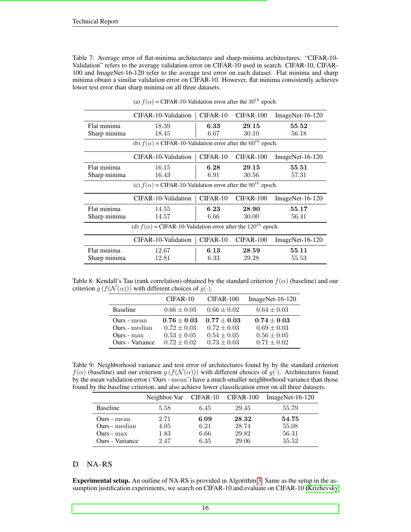<span id="page-15-0"></span>Table 7: Average error of flat-minima architectures and sharp-minima architectures. "CIFAR-10- Validation" refers to the average validation error on CIFAR-10 used in search. CIFAR-10, CIFAR-100 and ImageNet-16-120 refer to the average test error on each dataset. Flat minima and sharp minima obtain a similar validation error on CIFAR-10. However, flat minima consistently achieves lower test error than sharp minima on all three datasets.

| CIFAR-10-Validation                                                            | $CIFAR-10$ | CIFAR-100   | $ImageNet-16-120$ |  |  |  |
|--------------------------------------------------------------------------------|------------|-------------|-------------------|--|--|--|
| 18.39                                                                          | 6.33       | 29.15       | 55.52             |  |  |  |
| 18.45                                                                          | 6.67       | 30.10       | 56.18             |  |  |  |
| (b) $f(\alpha)$ = CIFAR-10-Validation error after the 60 <sup>th</sup> epoch.  |            |             |                   |  |  |  |
| CIFAR-10-Validation                                                            | $CIFAR-10$ | $CIFAR-100$ | $ImageNet-16-120$ |  |  |  |
| 16.15                                                                          | 6.28       | 29.15       | 55.51             |  |  |  |
| 16.43                                                                          | 6.91       | 30.56       | 57.31             |  |  |  |
| (c) $f(\alpha)$ = CIFAR-10-Validation error after the 90 <sup>th</sup> epoch.  |            |             |                   |  |  |  |
| CIFAR-10-Validation                                                            | $CIFAR-10$ | $CIFAR-100$ | ImageNet-16-120   |  |  |  |
| 14.55                                                                          | 6.23       | 28.90       | 55.17             |  |  |  |
| 14.57                                                                          | 6.66       | 30.00       | 56.41             |  |  |  |
| (d) $f(\alpha)$ = CIFAR-10-Validation error after the 120 <sup>th</sup> epoch. |            |             |                   |  |  |  |
| CIFAR-10-Validation                                                            | CIFAR-10   | CIFAR-100   | $ImageNet-16-120$ |  |  |  |
| 12.67                                                                          | 6.13       | 28.59       | 55.11             |  |  |  |
| 12.81                                                                          | 6.33       | 29.28       | 55.53             |  |  |  |
|                                                                                |            |             |                   |  |  |  |

(a)  $f(\alpha)$  = CIFAR-10-Validation error after the 30<sup>th</sup> epoch.

Table 8: Kendall's Tau (rank correlation) obtained by the standard criterion  $f(x)$  (baseline) and our criterion  $g(f(\mathcal{N}(\alpha)))$  with different choices of  $g(\cdot)$ .

|                 | $CIFAR-10$      | CIFAR-100       | $ImageNet-16-120$ |
|-----------------|-----------------|-----------------|-------------------|
| <b>Baseline</b> | $0.66 \pm 0.03$ | $0.66 \pm 0.02$ | $0.64 \pm 0.03$   |
| Ours - mean     | $0.76 \pm 0.03$ | $0.77 \pm 0.03$ | $0.74 \pm 0.03$   |
| Ours - median   | $0.72 \pm 0.03$ | $0.72 \pm 0.03$ | $0.69 \pm 0.03$   |
| $Ours - max$    | $0.53 \pm 0.05$ | $0.54 \pm 0.05$ | $0.56 \pm 0.05$   |
| Ours - Variance | $0.72 + 0.02$   | $0.73 \pm 0.03$ | $0.71 \pm 0.02$   |

Table 9: Neighborhood variance and test error of architectures found by by the standard criterion  $f(\alpha)$  (baseline) and our criterion  $g(f(\mathcal{N}(\alpha)))$  with different choices of  $g(\cdot)$ . Architectures found by the mean validation error ('Ours - mean') have a much smaller neighborhood variance than those found by the baseline criterion, and also achieve lower classification error on all three datasets.

|                        | Neighbor-Var CIFAR-10 CIFAR-100 |      |       | $ImageNet-16-120$ |
|------------------------|---------------------------------|------|-------|-------------------|
| <b>Baseline</b>        | 5.58                            | 6.45 | 29.45 | 55.79             |
| Ours - mean            | 2.71                            | 6.09 | 28.32 | 54.75             |
| Ours - median          | 4.05                            | 6.21 | 28.74 | 55.08             |
| $Ours - max$           | 1.83                            | 6.66 | 29.82 | 56.31             |
| <b>Ours</b> - Variance | 2.47                            | 6.35 | 29.06 | 55.52             |

### D NA-RS

Experimental setup. An outline of NA-RS is provided in Algorithm [3.](#page-13-1) Same as the setup in the assumption justification experiments, we search on CIFAR-10 and evaluate on CIFAR-10 [\(Krizhevsky](#page-9-14)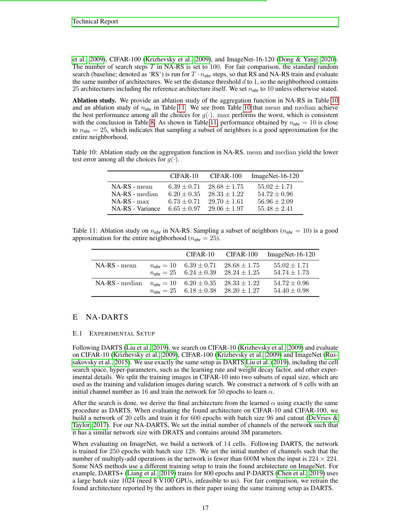[et al., 2009\)](#page-9-14), CIFAR-100 [\(Krizhevsky et al., 2009\)](#page-9-14), and ImageNet-16-120 [\(Dong & Yang, 2020\)](#page-8-2). The number of search steps  $T$  in NA-RS is set to 100. For fair comparison, the standard random search (baseline; denoted as 'RS') is run for  $T \cdot n_{\text{nbr}}$  steps, so that RS and NA-RS train and evaluate the same number of architectures. We set the distance threshold  $d$  to 1, so the neighborhood contains 25 architectures including the reference architecture itself. We set  $n_{\text{nbr}}$  to 10 unless otherwise stated.

Ablation study. We provide an ablation study of the aggregation function in NA-RS in Table [10](#page-16-0) and an ablation study of  $n_{\text{nbr}}$  in Table [11.](#page-16-1) We see from Table [10](#page-16-0) that mean and median achieve the best performance among all the choices for  $g(\cdot)$ . max performs the worst, which is consistent with the conclusion in Table [8.](#page-15-0) As shown in Table [11,](#page-16-1) performance obtained by  $n_{\text{nbr}} = 10$  is close to  $n_{\text{nbr}} = 25$ , which indicates that sampling a subset of neighbors is a good approximation for the entire neighborhood.

<span id="page-16-0"></span>Table 10: Ablation study on the aggregation function in NA-RS. mean and median yield the lower test error among all the choices for  $q(\cdot)$ .

|                  | $CIFAR-10$      | CIFAR-100        | $ImageNet-16-120$ |
|------------------|-----------------|------------------|-------------------|
| NA-RS - mean     | $6.39 \pm 0.71$ | $28.68 \pm 1.75$ | $55.02 \pm 1.71$  |
| NA-RS - median   | $6.20 \pm 0.35$ | $28.33 \pm 1.22$ | $54.72 \pm 0.96$  |
| $NA-RS - max$    | $6.73 + 0.71$   | $29.70 \pm 1.61$ | $56.96 \pm 2.09$  |
| NA-RS - Variance | $6.65 + 0.97$   | $29.06 + 1.97$   | $55.48 \pm 2.41$  |

<span id="page-16-1"></span>Table 11: Ablation study on  $n_{\text{nbr}}$  in NA-RS. Sampling a subset of neighbors ( $n_{\text{nbr}} = 10$ ) is a good approximation for the entire neighborhood ( $n_{\text{nbr}} = 25$ ).

|                |                                       |                                                                                                          | CIFAR-10 CIFAR-100 ImageNet-16-120   |
|----------------|---------------------------------------|----------------------------------------------------------------------------------------------------------|--------------------------------------|
| NA-RS - mean   | $n_{\text{nbr}} = 10$ 6.39 $\pm$ 0.71 | $28.68 \pm 1.75$<br>$n_{\text{nbr}} = 25$ 6.24 $\pm$ 0.39 28.24 $\pm$ 1.25                               | $55.02 \pm 1.71$<br>$54.74 \pm 1.73$ |
| NA-RS - median |                                       | $n_{\text{nbr}} = 10$ $6.20 \pm 0.35$ $28.33 \pm 1.22$<br>$n_{\text{nbr}} = 25$ 6.18 ± 0.38 28.20 ± 1.27 | $54.72 \pm 0.96$<br>$54.40 \pm 0.98$ |

# E NA-DARTS

#### E.1 EXPERIMENTAL SETUP

Following DARTS [\(Liu et al., 2019\)](#page-9-0), we search on CIFAR-10 [\(Krizhevsky et al., 2009\)](#page-9-14) and evaluate on CIFAR-10 [\(Krizhevsky et al., 2009\)](#page-9-14), CIFAR-100 [\(Krizhevsky et al., 2009\)](#page-9-14) and ImageNet [\(Rus](#page-9-16)[sakovsky et al., 2015\)](#page-9-16). We use exactly the same setup as DARTS [Liu et al.](#page-9-0) [\(2019\)](#page-9-0), including the cell search space, hyper-parameters, such as the learning rate and weight decay factor, and other experimental details. We split the training images in CIFAR-10 into two subsets of equal size, which are used as the training and validation images during search. We construct a network of 8 cells with an initial channel number as 16 and train the network for 50 epochs to learn  $\alpha$ .

After the search is done, we derive the final architecture from the learned  $\alpha$  using exactly the same procedure as DARTS. When evaluating the found architecture on CIFAR-10 and CIFAR-100, we build a network of 20 cells and train it for 600 epochs with batch size 96 and cutout [\(DeVries &](#page-8-9) [Taylor, 2017\)](#page-8-9). For our NA-DARTS, We set the initial number of channels of the network such that it has a similar network size with DRATS and contains around 3M parameters.

When evaluating on ImageNet, we build a network of 14 cells. Following DARTS, the network is trained for 250 epochs with batch size 128. We set the initial number of channels such that the number of multiply-add operations in the network is fewer than 600M when the input is  $224 \times 224$ . Some NAS methods use a different training setup to train the found architecture on ImageNet. For example, DARTS+ [\(Liang et al., 2019\)](#page-9-13) trains for 800 epochs and P-DARTS [\(Chen et al., 2019\)](#page-8-6) uses a large batch size 1024 (need 8 V100 GPUs, infeasible to us). For fair comparison, we retrain the found architecture reported by the authors in their paper using the same training setup as DARTS.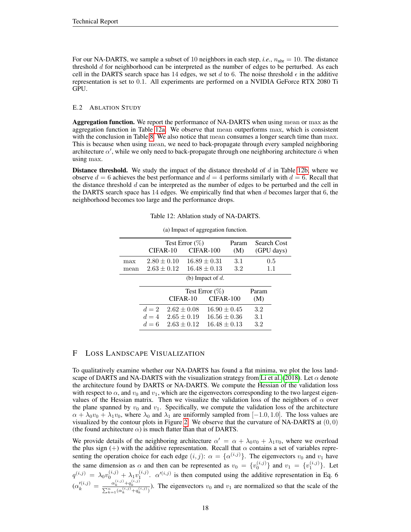For our NA-DARTS, we sample a subset of 10 neighbors in each step, *i.e.*,  $n_{\text{nbr}} = 10$ . The distance threshold  $d$  for neighborhood can be interpreted as the number of edges to be perturbed. As each cell in the DARTS search space has 14 edges, we set d to 6. The noise threshold  $\epsilon$  in the additive representation is set to 0.1. All experiments are performed on a NVIDIA GeForce RTX 2080 Ti GPU.

#### E.2 ABLATION STUDY

Aggregation function. We report the performance of NA-DARTS when using mean or max as the aggregation function in Table [12a.](#page-17-0) We observe that mean outperforms max, which is consistent with the conclusion in Table [8.](#page-15-0) We also notice that mean consumes a longer search time than max. This is because when using mean, we need to back-propagate through every sampled neighboring architecture  $\alpha'$ , while we only need to back-propagate through one neighboring architecture  $\bar{\alpha}$  when using max.

<span id="page-17-0"></span>**Distance threshold.** We study the impact of the distance threshold of  $d$  in Table [12b,](#page-17-0) where we observe  $d = 6$  achieves the best performance and  $d = 4$  performs similarly with  $d = 6$ . Recall that the distance threshold  $d$  can be interpreted as the number of edges to be perturbed and the cell in the DARTS search space has  $14$  edges. We empirically find that when d becomes larger that  $6$ , the neighborhood becomes too large and the performance drops.

Test Error (%) Param Search Cost CIFAR-10 CIFAR-100 (M) (GPU days) max  $2.80 \pm 0.10$   $16.89 \pm 0.31$   $3.1$  0.5 mean  $2.63 \pm 0.12$   $16.48 \pm 0.13$   $3.2$  1.1 (b) Impact of  $d$ . Test Error  $(\%)$  Param CIFAR-10 CIFAR-100 (M)  $d = 2$   $2.62 \pm 0.08$   $16.90 \pm 0.45$  3.2  $d = 4$   $2.65 \pm 0.19$   $16.56 \pm 0.36$  3.1  $d = 6$   $2.63 \pm 0.12$   $16.48 \pm 0.13$   $3.2$ 

(a) Impact of aggregation function.

Table 12: Ablation study of NA-DARTS.

# F LOSS LANDSCAPE VISUALIZATION

To qualitatively examine whether our NA-DARTS has found a flat minima, we plot the loss land-scape of DARTS and NA-DARTS with the visualization strategy from [Li et al.](#page-9-19) [\(2018\)](#page-9-19). Let  $\alpha$  denote the architecture found by DARTS or NA-DARTS. We compute the Hessian of the validation loss with respect to  $\alpha$ , and  $v_0$  and  $v_1$ , which are the eigenvectors corresponding to the two largest eigenvalues of the Hessian matrix. Then we visualize the validation loss of the neighbors of  $\alpha$  over the plane spanned by  $v_0$  and  $v_1$ . Specifically, we compute the validation loss of the architecture  $\alpha + \lambda_0 v_0 + \lambda_1 v_0$ , where  $\lambda_0$  and  $\lambda_1$  are uniformly sampled from [−1.0, 1.0]. The loss values are visualized by the contour plots in Figure [2.](#page-18-0) We observe that the curvature of NA-DARTS at  $(0, 0)$ (the found architecture  $\alpha$ ) is much flatter than that of DARTS.

We provide details of the neighboring architecture  $\alpha' = \alpha + \lambda_0 v_0 + \lambda_1 v_0$ , where we overload the plus sign (+) with the additive representation. Recall that  $\alpha$  contains a set of variables representing the operation choice for each edge  $(i, j)$ :  $\alpha = {\alpha^{(i,j)}}$ . The eigenvectors  $v_0$  and  $v_1$  have the same dimension as  $\alpha$  and then can be represented as  $v_0 = \{v_0^{(i,j)}\}\$  and  $v_1 = \{v_1^{(i,j)}\}\$ . Let  $q^{(i,j)} = \lambda_0 v_0^{(i,j)} + \lambda_1 v_1^{(i,j)}$ .  $\alpha^{(i,j)}$  is then computed using the additive representation in Eq. 6  $(\alpha_k'^{(i,j)} = \frac{\alpha_k^{(i,j)} + q_k^{(i,j)}}{\sum_{k=1}^n (\alpha_k^{(i,j)} + q_k^{(i,j)})}$ ). The eigenvectors  $v_0$  and  $v_1$  are normalized so that the scale of the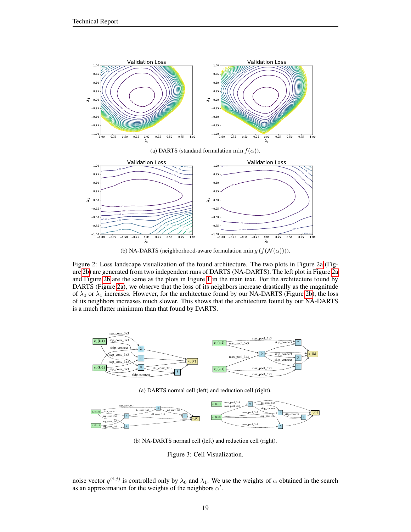<span id="page-18-0"></span>

(a) DARTS (standard formulation min  $f(\alpha)$ ).



(b) NA-DARTS (neighborhood-aware formulation min  $g(f(\mathcal{N}(\alpha))))$ .

Figure 2: Loss landscape visualization of the found architecture. The two plots in Figure [2a](#page-18-0) (Figure [2b\)](#page-18-0) are generated from two independent runs of DARTS (NA-DARTS). The left plot in Figure [2a](#page-18-0) and Figure [2b](#page-18-0) are the same as the plots in Figure [1](#page-1-0) in the main text. For the architecture found by DARTS (Figure [2a\)](#page-18-0), we observe that the loss of its neighbors increase drastically as the magnitude of  $\lambda_0$  or  $\lambda_1$  increases. However, for the architecture found by our NA-DARTS (Figure [2b\)](#page-18-0), the loss of its neighbors increases much slower. This shows that the architecture found by our NA-DARTS is a much flatter minimum than that found by DARTS.

<span id="page-18-1"></span>

(a) DARTS normal cell (left) and reduction cell (right).



(b) NA-DARTS normal cell (left) and reduction cell (right).

Figure 3: Cell Visualization.

noise vector  $q^{(i,j)}$  is controlled only by  $\lambda_0$  and  $\lambda_1$ . We use the weights of  $\alpha$  obtained in the search as an approximation for the weights of the neighbors  $\alpha'$ .